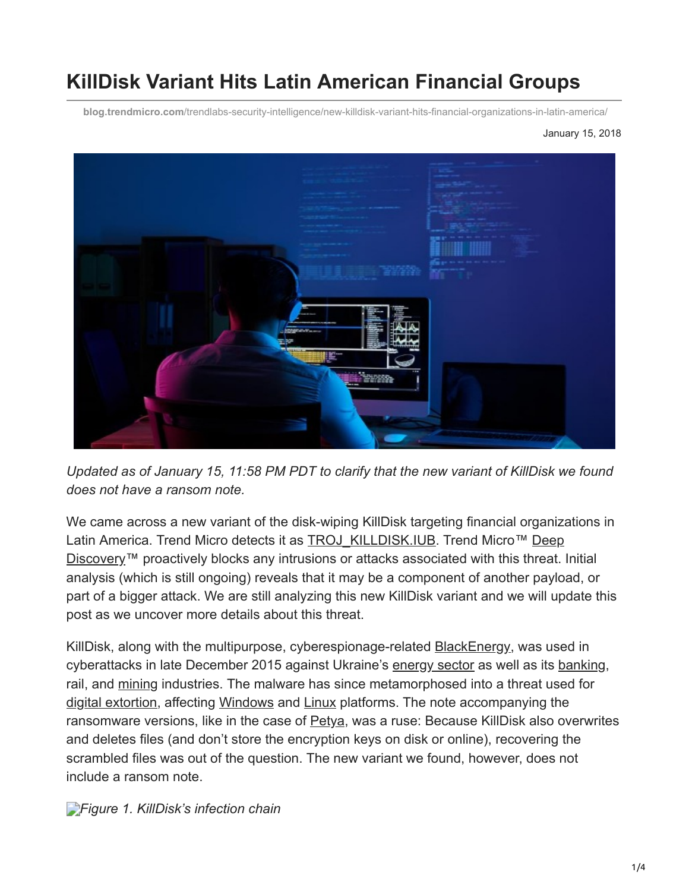# **KillDisk Variant Hits Latin American Financial Groups**

**blog.trendmicro.com**[/trendlabs-security-intelligence/new-killdisk-variant-hits-financial-organizations-in-latin-america/](https://blog.trendmicro.com/trendlabs-security-intelligence/new-killdisk-variant-hits-financial-organizations-in-latin-america/)

#### January 15, 2018



*Updated as of January 15, 11:58 PM PDT to clarify that the new variant of KillDisk we found does not have a ransom note.*

We came across a new variant of the disk-wiping KillDisk targeting financial organizations in [Latin America. Trend Micro detects it as](https://blog.trendmicro.com/en_us/business/products/network/advanced-threat-protection/deep-discovery-threat-intelligence-network-analytics.html) [TROJ\\_KILLDISK.IU](https://www.trendmicro.com/vinfo/tmr/?/us/threat-encyclopedia/malware/TROJ_KILLDISK.IUB)[B. Trend Micro™ Deep](https://blog.trendmicro.com/en_us/business/products/network/advanced-threat-protection/deep-discovery-threat-intelligence-network-analytics.html) Discovery™ proactively blocks any intrusions or attacks associated with this threat. Initial analysis (which is still ongoing) reveals that it may be a component of another payload, or part of a bigger attack. We are still analyzing this new KillDisk variant and we will update this post as we uncover more details about this threat.

KillDisk, along with the multipurpose, cyberespionage-related [BlackEnergy,](http://blog.trendmicro.com/trendlabs-security-intelligence/killdisk-and-blackenergy-are-not-just-energy-sector-threats/) was used in cyberattacks in late December 2015 against Ukraine's [energy sector](https://www.trendmicro.com/vinfo/tmr/?/us/security/news/cyber-attacks/first-malware-driven-power-outage-reported-in-ukraine) as well as its [banking](https://www.theregister.co.uk/2016/12/15/ukraine_banks_apt/), rail, and [mining](https://www.trendmicro.com/vinfo/tmr/?/us/security/news/cyber-attacks/cyber-threats-to-the-mining-industry) industries. The malware has since metamorphosed into a threat used for [digital extortion,](https://www.trendmicro.com/vinfo/tmr/?/us/security/research-and-analysis/predictions/2018) affecting [Windows](https://www.trendmicro.com/vinfo/tmr/?/us/security/news/cybercrime-and-digital-threats/ransomware-recap-dec-19-dec-31-2016) and [Linux](https://www.trendmicro.com/vinfo/tmr/?/us/security/news/cybercrime-and-digital-threats/ransomware-recap-january-1-13-2017) platforms. The note accompanying the ransomware versions, like in the case of [Petya,](https://www.trendmicro.com/vinfo/tmr/?/us/security/news/cybercrime-and-digital-threats/frequently-asked-questions-the-petya-ransomware-outbreak) was a ruse: Because KillDisk also overwrites and deletes files (and don't store the encryption keys on disk or online), recovering the scrambled files was out of the question. The new variant we found, however, does not include a ransom note.

*[F](https://blog.trendmicro.com/content/dam/trendmicro/global/en/migrated/security-intelligence-migration-spreadsheet/trendlabs-security-intelligence/2018/01/killdisk-1.jpg)igure 1. KillDisk's infection chain*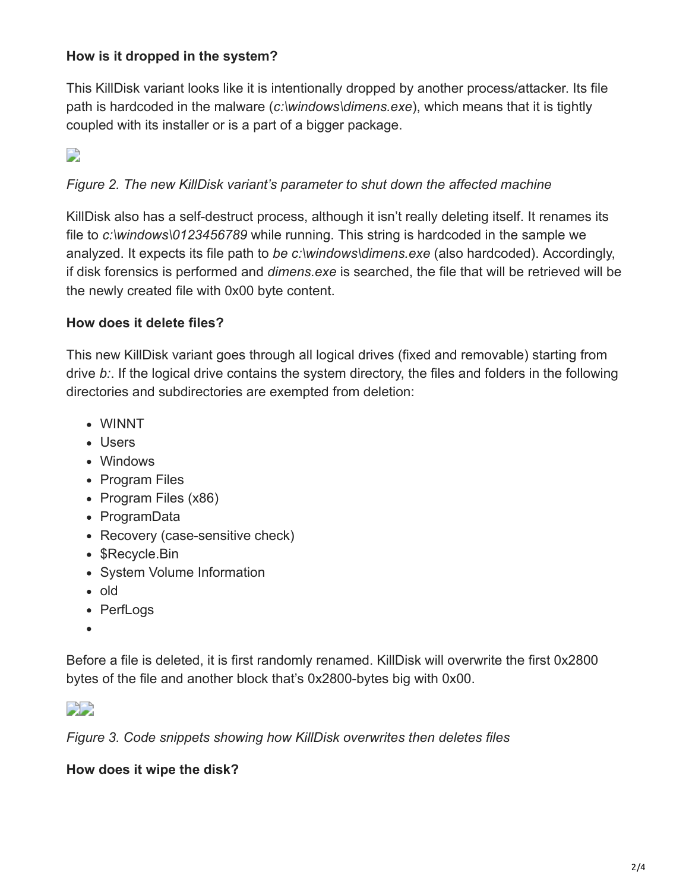### **How is it dropped in the system?**

This KillDisk variant looks like it is intentionally dropped by another process/attacker. Its file path is hardcoded in the malware (*c:\windows\dimens.exe*), which means that it is tightly coupled with its installer or is a part of a bigger package.

 $\Box$ 

# *Figure 2. The new KillDisk variant's parameter to shut down the affected machine*

KillDisk also has a self-destruct process, although it isn't really deleting itself. It renames its file to *c:\windows\0123456789* while running. This string is hardcoded in the sample we analyzed. It expects its file path to *be c:\windows\dimens.exe* (also hardcoded). Accordingly, if disk forensics is performed and *dimens.exe* is searched, the file that will be retrieved will be the newly created file with 0x00 byte content.

#### **How does it delete files?**

This new KillDisk variant goes through all logical drives (fixed and removable) starting from drive *b:*. If the logical drive contains the system directory, the files and folders in the following directories and subdirectories are exempted from deletion:

- WINNT
- Users
- Windows
- Program Files
- Program Files (x86)
- ProgramData
- Recovery (case-sensitive check)
- \$Recycle.Bin
- System Volume Information
- old
- PerfLogs
- 

Before a file is deleted, it is first randomly renamed. KillDisk will overwrite the first 0x2800 bytes of the file and another block that's 0x2800-bytes big with 0x00.



*Figure 3. Code snippets showing how KillDisk overwrites then deletes files*

**How does it wipe the disk?**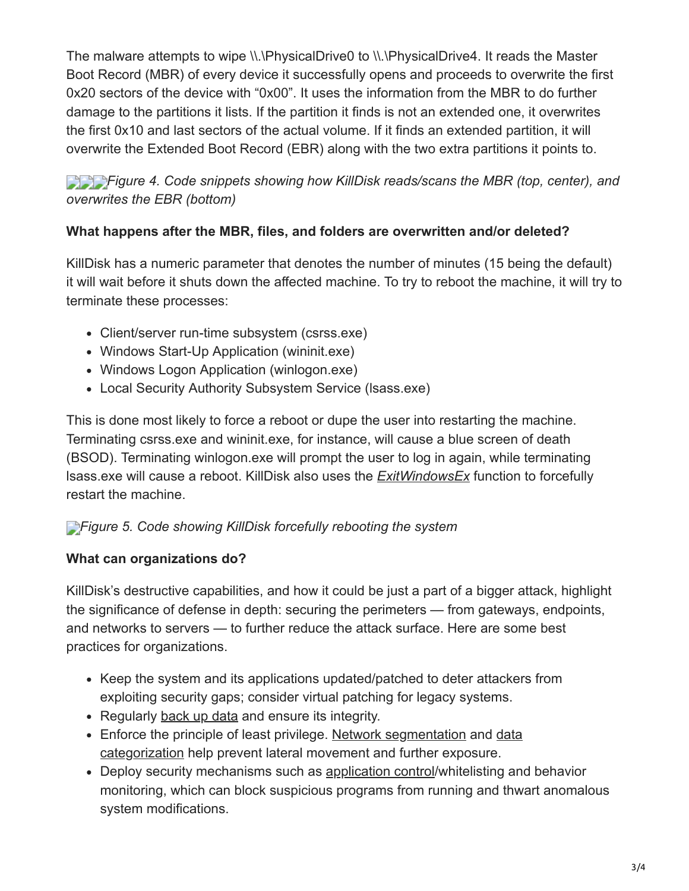The malware attempts to wipe \\.\PhysicalDrive0 to \\.\PhysicalDrive4. It reads the Master Boot Record (MBR) of every device it successfully opens and proceeds to overwrite the first 0x20 sectors of the device with "0x00". It uses the information from the MBR to do further damage to the partitions it lists. If the partition it finds is not an extended one, it overwrites the first 0x10 and last sectors of the actual volume. If it finds an extended partition, it will overwrite the Extended Boot Record (EBR) along with the two extra partitions it points to.

**[F](https://blog.trendmicro.com/content/dam/trendmicro/global/en/migrated/security-intelligence-migration-spreadsheet/trendlabs-security-intelligence/2018/01/killdisk-4-3.png)***igure 4. Code snippets showing how KillDisk reads/scans the MBR (top, center), and overwrites the EBR (bottom)*

### **What happens after the MBR, files, and folders are overwritten and/or deleted?**

KillDisk has a numeric parameter that denotes the number of minutes (15 being the default) it will wait before it shuts down the affected machine. To try to reboot the machine, it will try to terminate these processes:

- Client/server run-time subsystem (csrss.exe)
- Windows Start-Up Application (wininit.exe)
- Windows Logon Application (winlogon.exe)
- Local Security Authority Subsystem Service (lsass.exe)

This is done most likely to force a reboot or dupe the user into restarting the machine. Terminating csrss.exe and wininit.exe, for instance, will cause a blue screen of death (BSOD). Terminating winlogon.exe will prompt the user to log in again, while terminating lsass.exe will cause a reboot. KillDisk also uses the *[ExitWindowsEx](https://msdn.microsoft.com/en-us/library/windows/desktop/aa376868(v=vs.85).aspx)* function to forcefully restart the machine.

# *[F](https://blog.trendmicro.com/content/dam/trendmicro/global/en/migrated/security-intelligence-migration-spreadsheet/trendlabs-security-intelligence/2018/01/killdisk-5.png)igure 5. Code showing KillDisk forcefully rebooting the system*

### **What can organizations do?**

KillDisk's destructive capabilities, and how it could be just a part of a bigger attack, highlight the significance of defense in depth: securing the perimeters — from gateways, endpoints, and networks to servers — to further reduce the attack surface. Here are some best practices for organizations.

- Keep the system and its applications updated/patched to deter attackers from exploiting security gaps; consider virtual patching for legacy systems.
- Regularly [back up data](https://www.trendmicro.com/vinfo/tmr/?/us/security/news/virtualization-and-cloud/best-practices-backing-up-data) and ensure its integrity.
- [Enforce the principle of least privilege. Network segmentation and data](https://www.trendmicro.com/vinfo/tmr/?/us/security/news/cyber-attacks/keeping-digital-assets-safe-need-for-data-classification) categorization help prevent lateral movement and further exposure.
- Deploy security mechanisms such as [application control](https://blog.trendmicro.com/en_us/business/products/user-protection/sps/endpoint.html)/whitelisting and behavior monitoring, which can block suspicious programs from running and thwart anomalous system modifications.